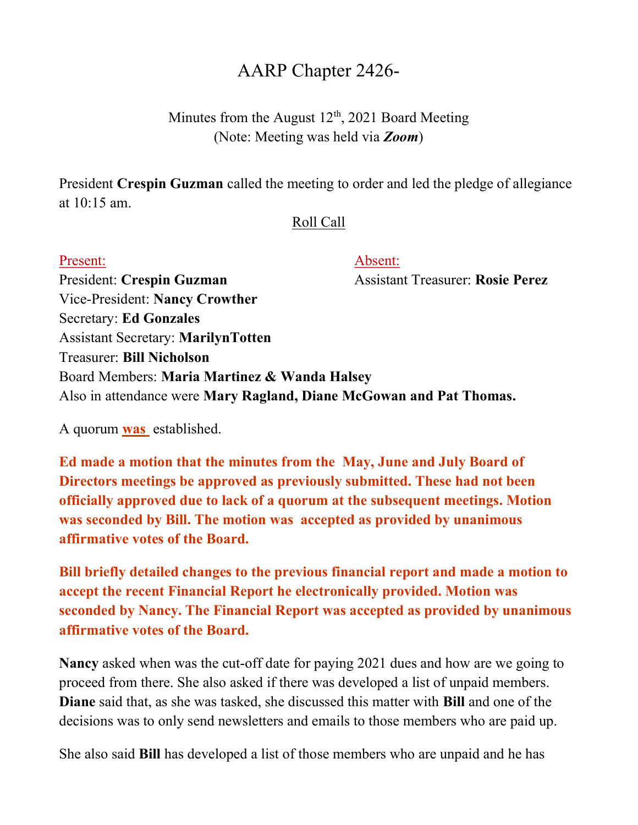## AARP Chapter 2426-

Minutes from the August  $12<sup>th</sup>$ , 2021 Board Meeting (Note: Meeting was held via **Zoom**)

President Crespin Guzman called the meeting to order and led the pledge of allegiance at 10:15 am.

## Roll Call

## Present: Absent:

President: Crespin Guzman Assistant Treasurer: Rosie Perez Vice-President: Nancy Crowther Secretary: Ed Gonzales Assistant Secretary: MarilynTotten Treasurer: Bill Nicholson Board Members: Maria Martinez & Wanda Halsey Also in attendance were Mary Ragland, Diane McGowan and Pat Thomas.

A quorum was established.

Ed made a motion that the minutes from the May, June and July Board of Directors meetings be approved as previously submitted. These had not been officially approved due to lack of a quorum at the subsequent meetings. Motion was seconded by Bill. The motion was accepted as provided by unanimous affirmative votes of the Board.

Bill briefly detailed changes to the previous financial report and made a motion to accept the recent Financial Report he electronically provided. Motion was seconded by Nancy. The Financial Report was accepted as provided by unanimous affirmative votes of the Board.

Nancy asked when was the cut-off date for paying 2021 dues and how are we going to proceed from there. She also asked if there was developed a list of unpaid members. Diane said that, as she was tasked, she discussed this matter with Bill and one of the decisions was to only send newsletters and emails to those members who are paid up.

She also said Bill has developed a list of those members who are unpaid and he has